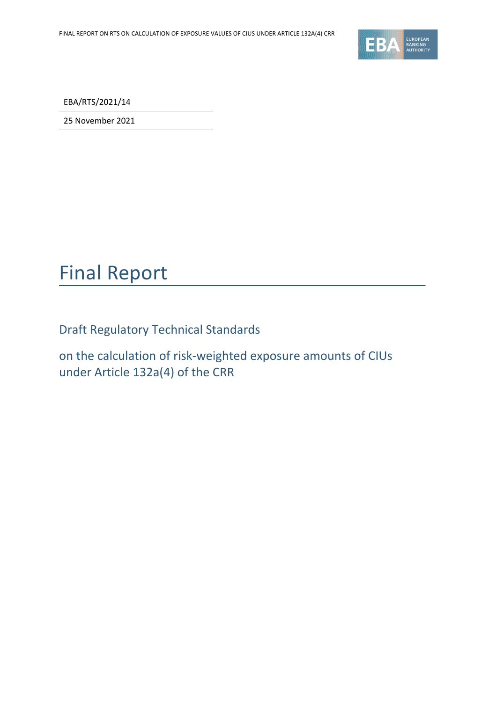

EBA/RTS/2021/14

25 November 2021

## Final Report

Draft Regulatory Technical Standards

on the calculation of risk-weighted exposure amounts of CIUs under Article 132a(4) of the CRR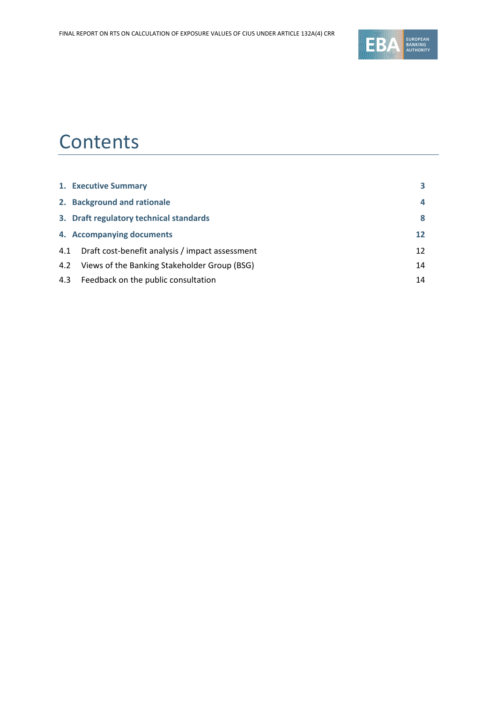

## **Contents**

|     | 1. Executive Summary                            |    |
|-----|-------------------------------------------------|----|
|     | 2. Background and rationale                     | 4  |
|     | 3. Draft regulatory technical standards         | 8  |
|     | 4. Accompanying documents                       | 12 |
| 4.1 | Draft cost-benefit analysis / impact assessment | 12 |
| 4.2 | Views of the Banking Stakeholder Group (BSG)    | 14 |
|     | 4.3 Feedback on the public consultation         | 14 |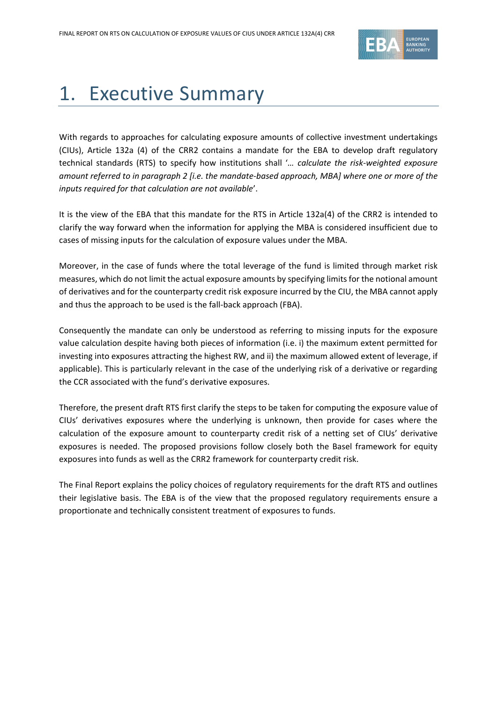

## <span id="page-2-0"></span>1. Executive Summary

With regards to approaches for calculating exposure amounts of collective investment undertakings (CIUs), Article 132a (4) of the CRR2 contains a mandate for the EBA to develop draft regulatory technical standards (RTS) to specify how institutions shall '*… calculate the risk-weighted exposure amount referred to in paragraph 2 [i.e. the mandate-based approach, MBA] where one or more of the inputs required for that calculation are not available*'.

It is the view of the EBA that this mandate for the RTS in Article 132a(4) of the CRR2 is intended to clarify the way forward when the information for applying the MBA is considered insufficient due to cases of missing inputs for the calculation of exposure values under the MBA.

Moreover, in the case of funds where the total leverage of the fund is limited through market risk measures, which do not limit the actual exposure amounts by specifying limits for the notional amount of derivatives and for the counterparty credit risk exposure incurred by the CIU, the MBA cannot apply and thus the approach to be used is the fall-back approach (FBA).

Consequently the mandate can only be understood as referring to missing inputs for the exposure value calculation despite having both pieces of information (i.e. i) the maximum extent permitted for investing into exposures attracting the highest RW, and ii) the maximum allowed extent of leverage, if applicable). This is particularly relevant in the case of the underlying risk of a derivative or regarding the CCR associated with the fund's derivative exposures.

Therefore, the present draft RTS first clarify the steps to be taken for computing the exposure value of CIUs' derivatives exposures where the underlying is unknown, then provide for cases where the calculation of the exposure amount to counterparty credit risk of a netting set of CIUs' derivative exposures is needed. The proposed provisions follow closely both the Basel framework for equity exposures into funds as well as the CRR2 framework for counterparty credit risk.

<span id="page-2-1"></span>The Final Report explains the policy choices of regulatory requirements for the draft RTS and outlines their legislative basis. The EBA is of the view that the proposed regulatory requirements ensure a proportionate and technically consistent treatment of exposures to funds.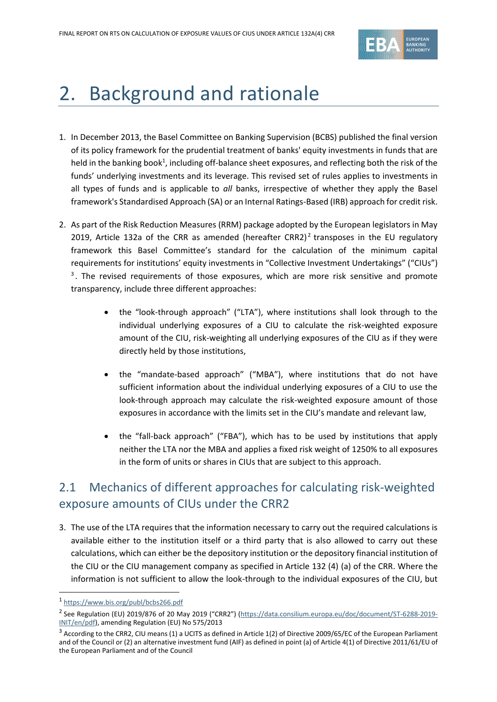

# 2. Background and rationale

- 1. In December 2013, the Basel Committee on Banking Supervision (BCBS) published the final version of its policy framework for the prudential treatment of banks' equity investments in funds that are held in the banking book<sup>1</sup>, including off-balance sheet exposures, and reflecting both the risk of the funds' underlying investments and its leverage. This revised set of rules applies to investments in all types of funds and is applicable to *all* banks, irrespective of whether they apply the Basel framework's Standardised Approach (SA) or an Internal Ratings-Based (IRB) approach for credit risk.
- 2. As part of the Risk Reduction Measures (RRM) package adopted by the European legislators in May 2019, Article 132a of the CRR as amended (hereafter CRR2)<sup>2</sup> transposes in the EU regulatory framework this Basel Committee's standard for the calculation of the minimum capital requirements for institutions' equity investments in "Collective Investment Undertakings" ("CIUs") <sup>3</sup>. The revised requirements of those exposures, which are more risk sensitive and promote transparency, include three different approaches:
	- the "look-through approach" ("LTA"), where institutions shall look through to the individual underlying exposures of a CIU to calculate the risk-weighted exposure amount of the CIU, risk-weighting all underlying exposures of the CIU as if they were directly held by those institutions,
	- the "mandate-based approach" ("MBA"), where institutions that do not have sufficient information about the individual underlying exposures of a CIU to use the look-through approach may calculate the risk-weighted exposure amount of those exposures in accordance with the limits set in the CIU's mandate and relevant law,
	- the "fall-back approach" ("FBA"), which has to be used by institutions that apply neither the LTA nor the MBA and applies a fixed risk weight of 1250% to all exposures in the form of units or shares in CIUs that are subject to this approach.

## 2.1 Mechanics of different approaches for calculating risk-weighted exposure amounts of CIUs under the CRR2

3. The use of the LTA requires that the information necessary to carry out the required calculations is available either to the institution itself or a third party that is also allowed to carry out these calculations, which can either be the depository institution or the depository financial institution of the CIU or the CIU management company as specified in Article 132 (4) (a) of the CRR. Where the information is not sufficient to allow the look-through to the individual exposures of the CIU, but

<sup>1</sup> <https://www.bis.org/publ/bcbs266.pdf>

<sup>&</sup>lt;sup>2</sup> See Regulation (EU) 2019/876 of 20 May 2019 ("CRR2") ([https://data.consilium.europa.eu/doc/document/ST-6288-2019-](https://data.consilium.europa.eu/doc/document/ST-6288-2019-INIT/en/pdf) [INIT/en/pdf\)](https://data.consilium.europa.eu/doc/document/ST-6288-2019-INIT/en/pdf), amending Regulation (EU) No 575/2013

 $3$  According to the CRR2, CIU means (1) a UCITS as defined in Article 1(2) of Directive 2009/65/EC of the European Parliament and of the Council or (2) an alternative investment fund (AIF) as defined in point (a) of Article 4(1) of Directive 2011/61/EU of the European Parliament and of the Council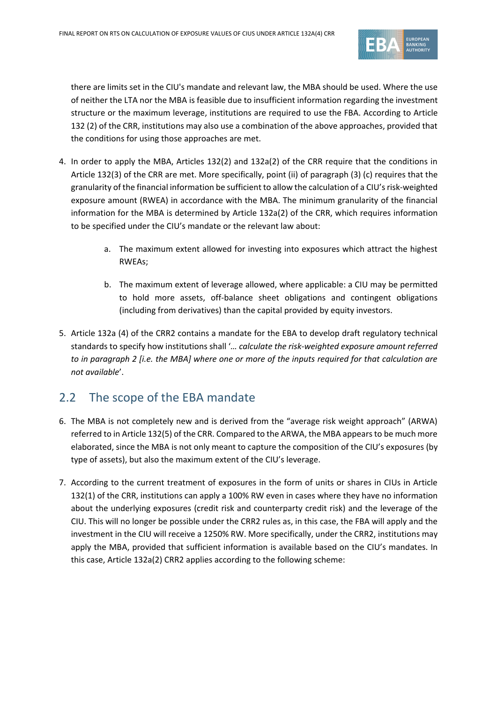

there are limits set in the CIU's mandate and relevant law, the MBA should be used. Where the use of neither the LTA nor the MBA is feasible due to insufficient information regarding the investment structure or the maximum leverage, institutions are required to use the FBA. According to Article 132 (2) of the CRR, institutions may also use a combination of the above approaches, provided that the conditions for using those approaches are met.

- 4. In order to apply the MBA, Articles 132(2) and 132a(2) of the CRR require that the conditions in Article 132(3) of the CRR are met. More specifically, point (ii) of paragraph (3) (c) requires that the granularity of the financial information be sufficient to allow the calculation of a CIU's risk-weighted exposure amount (RWEA) in accordance with the MBA. The minimum granularity of the financial information for the MBA is determined by Article 132a(2) of the CRR, which requires information to be specified under the CIU's mandate or the relevant law about:
	- a. The maximum extent allowed for investing into exposures which attract the highest RWEAs;
	- b. The maximum extent of leverage allowed, where applicable: a CIU may be permitted to hold more assets, off-balance sheet obligations and contingent obligations (including from derivatives) than the capital provided by equity investors.
- 5. Article 132a (4) of the CRR2 contains a mandate for the EBA to develop draft regulatory technical standards to specify how institutions shall '*… calculate the risk-weighted exposure amount referred to in paragraph 2 [i.e. the MBA] where one or more of the inputs required for that calculation are not available*'.

### 2.2 The scope of the EBA mandate

- 6. The MBA is not completely new and is derived from the "average risk weight approach" (ARWA) referred to in Article 132(5) of the CRR. Compared to the ARWA, the MBA appears to be much more elaborated, since the MBA is not only meant to capture the composition of the CIU's exposures (by type of assets), but also the maximum extent of the CIU's leverage.
- 7. According to the current treatment of exposures in the form of units or shares in CIUs in Article 132(1) of the CRR, institutions can apply a 100% RW even in cases where they have no information about the underlying exposures (credit risk and counterparty credit risk) and the leverage of the CIU. This will no longer be possible under the CRR2 rules as, in this case, the FBA will apply and the investment in the CIU will receive a 1250% RW. More specifically, under the CRR2, institutions may apply the MBA, provided that sufficient information is available based on the CIU's mandates. In this case, Article 132a(2) CRR2 applies according to the following scheme: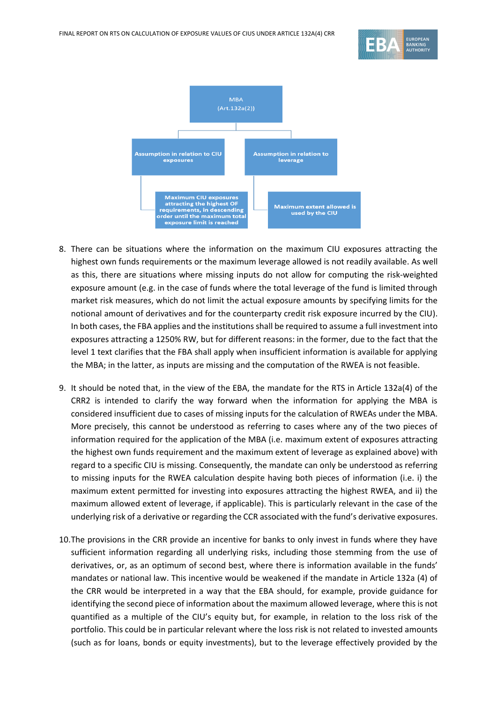



- 8. There can be situations where the information on the maximum CIU exposures attracting the highest own funds requirements or the maximum leverage allowed is not readily available. As well as this, there are situations where missing inputs do not allow for computing the risk-weighted exposure amount (e.g. in the case of funds where the total leverage of the fund is limited through market risk measures, which do not limit the actual exposure amounts by specifying limits for the notional amount of derivatives and for the counterparty credit risk exposure incurred by the CIU). In both cases, the FBA applies and the institutions shall be required to assume a full investment into exposures attracting a 1250% RW, but for different reasons: in the former, due to the fact that the level 1 text clarifies that the FBA shall apply when insufficient information is available for applying the MBA; in the latter, as inputs are missing and the computation of the RWEA is not feasible.
- 9. It should be noted that, in the view of the EBA, the mandate for the RTS in Article 132a(4) of the CRR2 is intended to clarify the way forward when the information for applying the MBA is considered insufficient due to cases of missing inputs for the calculation of RWEAs under the MBA. More precisely, this cannot be understood as referring to cases where any of the two pieces of information required for the application of the MBA (i.e. maximum extent of exposures attracting the highest own funds requirement and the maximum extent of leverage as explained above) with regard to a specific CIU is missing. Consequently, the mandate can only be understood as referring to missing inputs for the RWEA calculation despite having both pieces of information (i.e. i) the maximum extent permitted for investing into exposures attracting the highest RWEA, and ii) the maximum allowed extent of leverage, if applicable). This is particularly relevant in the case of the underlying risk of a derivative or regarding the CCR associated with the fund's derivative exposures.
- 10.The provisions in the CRR provide an incentive for banks to only invest in funds where they have sufficient information regarding all underlying risks, including those stemming from the use of derivatives, or, as an optimum of second best, where there is information available in the funds' mandates or national law. This incentive would be weakened if the mandate in Article 132a (4) of the CRR would be interpreted in a way that the EBA should, for example, provide guidance for identifying the second piece of information about the maximum allowed leverage, where this is not quantified as a multiple of the CIU's equity but, for example, in relation to the loss risk of the portfolio. This could be in particular relevant where the loss risk is not related to invested amounts (such as for loans, bonds or equity investments), but to the leverage effectively provided by the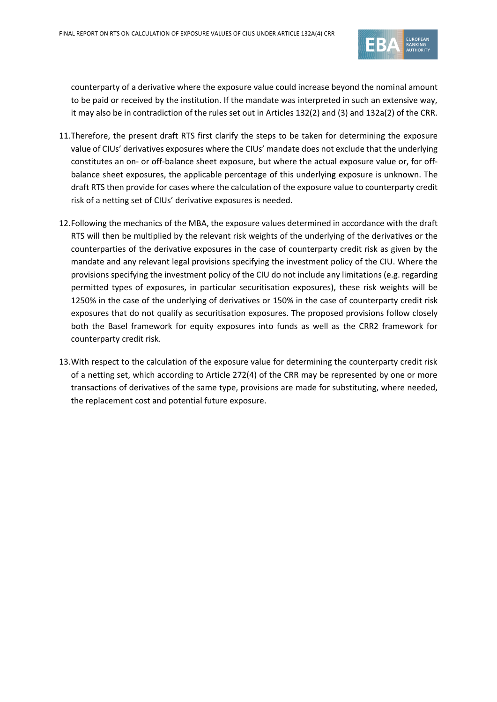

counterparty of a derivative where the exposure value could increase beyond the nominal amount to be paid or received by the institution. If the mandate was interpreted in such an extensive way, it may also be in contradiction of the rules set out in Articles 132(2) and (3) and 132a(2) of the CRR.

- 11.Therefore, the present draft RTS first clarify the steps to be taken for determining the exposure value of CIUs' derivatives exposures where the CIUs' mandate does not exclude that the underlying constitutes an on- or off-balance sheet exposure, but where the actual exposure value or, for offbalance sheet exposures, the applicable percentage of this underlying exposure is unknown. The draft RTS then provide for cases where the calculation of the exposure value to counterparty credit risk of a netting set of CIUs' derivative exposures is needed.
- 12.Following the mechanics of the MBA, the exposure values determined in accordance with the draft RTS will then be multiplied by the relevant risk weights of the underlying of the derivatives or the counterparties of the derivative exposures in the case of counterparty credit risk as given by the mandate and any relevant legal provisions specifying the investment policy of the CIU. Where the provisions specifying the investment policy of the CIU do not include any limitations (e.g. regarding permitted types of exposures, in particular securitisation exposures), these risk weights will be 1250% in the case of the underlying of derivatives or 150% in the case of counterparty credit risk exposures that do not qualify as securitisation exposures. The proposed provisions follow closely both the Basel framework for equity exposures into funds as well as the CRR2 framework for counterparty credit risk.
- 13.With respect to the calculation of the exposure value for determining the counterparty credit risk of a netting set, which according to Article 272(4) of the CRR may be represented by one or more transactions of derivatives of the same type, provisions are made for substituting, where needed, the replacement cost and potential future exposure.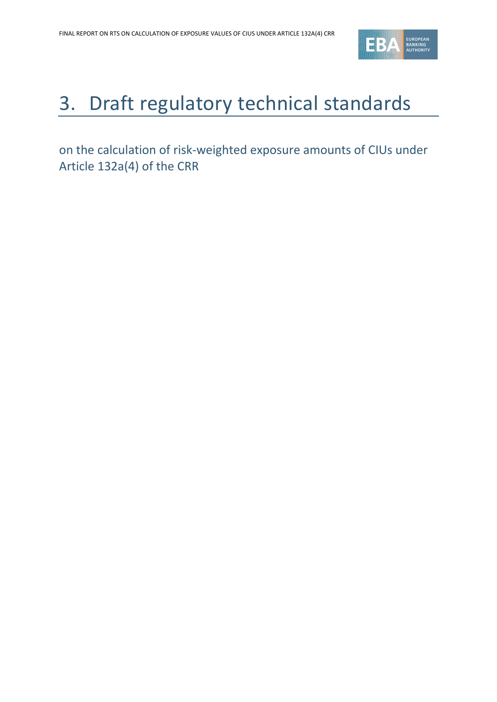

# <span id="page-7-0"></span>3. Draft regulatory technical standards

on the calculation of risk-weighted exposure amounts of CIUs under Article 132a(4) of the CRR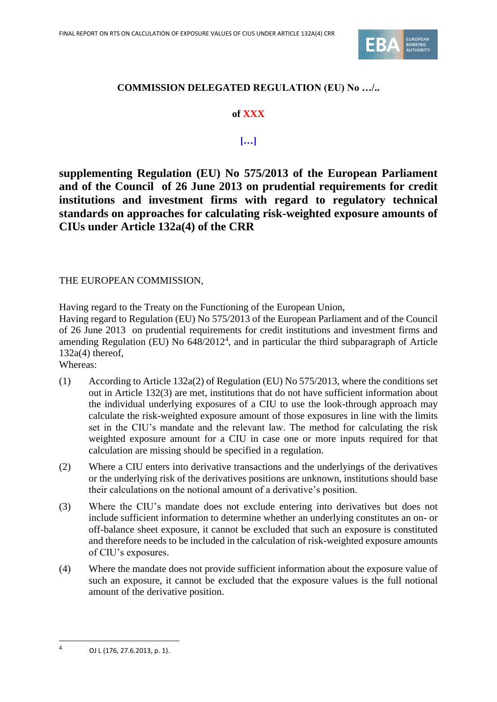

#### **COMMISSION DELEGATED REGULATION (EU) No …/..**

#### **of XXX**

#### **[…]**

**supplementing Regulation (EU) No 575/2013 of the European Parliament and of the Council of 26 June 2013 on prudential requirements for credit institutions and investment firms with regard to regulatory technical standards on approaches for calculating risk-weighted exposure amounts of CIUs under Article 132a(4) of the CRR**

#### THE EUROPEAN COMMISSION,

Having regard to the Treaty on the Functioning of the European Union,

Having regard to Regulation (EU) No 575/2013 of the European Parliament and of the Council of 26 June 2013 on prudential requirements for credit institutions and investment firms and amending Regulation (EU) No  $648/2012<sup>4</sup>$ , and in particular the third subparagraph of Article  $132a(4)$  thereof.

Whereas:

- (1) According to Article 132a(2) of Regulation (EU) No 575/2013, where the conditions set out in Article 132(3) are met, institutions that do not have sufficient information about the individual underlying exposures of a CIU to use the look-through approach may calculate the risk-weighted exposure amount of those exposures in line with the limits set in the CIU's mandate and the relevant law. The method for calculating the risk weighted exposure amount for a CIU in case one or more inputs required for that calculation are missing should be specified in a regulation.
- (2) Where a CIU enters into derivative transactions and the underlyings of the derivatives or the underlying risk of the derivatives positions are unknown, institutions should base their calculations on the notional amount of a derivative's position.
- (3) Where the CIU's mandate does not exclude entering into derivatives but does not include sufficient information to determine whether an underlying constitutes an on- or off-balance sheet exposure, it cannot be excluded that such an exposure is constituted and therefore needs to be included in the calculation of risk-weighted exposure amounts of CIU's exposures.
- (4) Where the mandate does not provide sufficient information about the exposure value of such an exposure, it cannot be excluded that the exposure values is the full notional amount of the derivative position.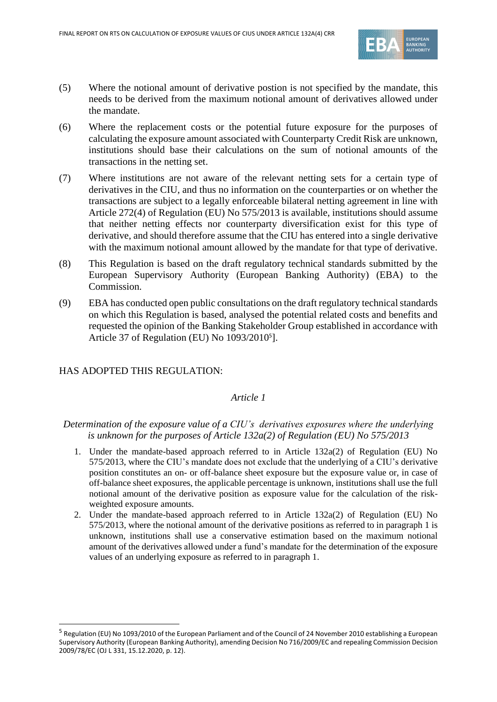

- (5) Where the notional amount of derivative postion is not specified by the mandate, this needs to be derived from the maximum notional amount of derivatives allowed under the mandate.
- (6) Where the replacement costs or the potential future exposure for the purposes of calculating the exposure amount associated with Counterparty Credit Risk are unknown, institutions should base their calculations on the sum of notional amounts of the transactions in the netting set.
- (7) Where institutions are not aware of the relevant netting sets for a certain type of derivatives in the CIU, and thus no information on the counterparties or on whether the transactions are subject to a legally enforceable bilateral netting agreement in line with Article 272(4) of Regulation (EU) No 575/2013 is available, institutions should assume that neither netting effects nor counterparty diversification exist for this type of derivative, and should therefore assume that the CIU has entered into a single derivative with the maximum notional amount allowed by the mandate for that type of derivative.
- (8) This Regulation is based on the draft regulatory technical standards submitted by the European Supervisory Authority (European Banking Authority) (EBA) to the Commission.
- (9) EBA has conducted open public consultations on the draft regulatory technical standards on which this Regulation is based, analysed the potential related costs and benefits and requested the opinion of the Banking Stakeholder Group established in accordance with Article 37 of Regulation (EU) No 1093/2010<sup>5</sup>].

#### HAS ADOPTED THIS REGULATION:

#### *Article 1*

#### *Determination of the exposure value of a CIU's derivatives exposures where the underlying is unknown for the purposes of Article 132a(2) of Regulation (EU) No 575/2013*

- 1. Under the mandate-based approach referred to in Article 132a(2) of Regulation (EU) No 575/2013, where the CIU's mandate does not exclude that the underlying of a CIU's derivative position constitutes an on- or off-balance sheet exposure but the exposure value or, in case of off-balance sheet exposures, the applicable percentage is unknown, institutions shall use the full notional amount of the derivative position as exposure value for the calculation of the riskweighted exposure amounts.
- 2. Under the mandate-based approach referred to in Article 132a(2) of Regulation (EU) No 575/2013, where the notional amount of the derivative positions as referred to in paragraph 1 is unknown, institutions shall use a conservative estimation based on the maximum notional amount of the derivatives allowed under a fund's mandate for the determination of the exposure values of an underlying exposure as referred to in paragraph 1.

<sup>&</sup>lt;sup>5</sup> Regulation (EU) No 1093/2010 of the European Parliament and of the Council of 24 November 2010 establishing a European Supervisory Authority (European Banking Authority), amending Decision No 716/2009/EC and repealing Commission Decision 2009/78/EC (OJ L 331, 15.12.2020, p. 12).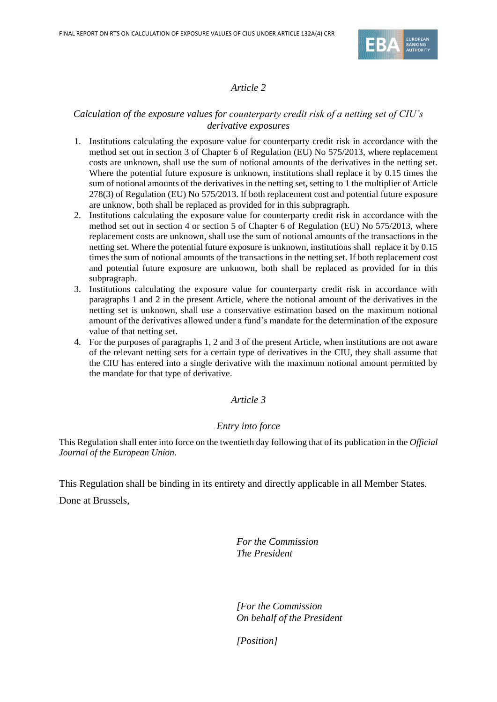

#### *Article 2*

#### *Calculation of the exposure values for counterparty credit risk of a netting set of CIU's derivative exposures*

- 1. Institutions calculating the exposure value for counterparty credit risk in accordance with the method set out in section 3 of Chapter 6 of Regulation (EU) No 575/2013, where replacement costs are unknown, shall use the sum of notional amounts of the derivatives in the netting set. Where the potential future exposure is unknown, institutions shall replace it by 0.15 times the sum of notional amounts of the derivatives in the netting set, setting to 1 the multiplier of Article 278(3) of Regulation (EU) No 575/2013. If both replacement cost and potential future exposure are unknow, both shall be replaced as provided for in this subpragraph.
- 2. Institutions calculating the exposure value for counterparty credit risk in accordance with the method set out in section 4 or section 5 of Chapter 6 of Regulation (EU) No 575/2013, where replacement costs are unknown, shall use the sum of notional amounts of the transactions in the netting set. Where the potential future exposure is unknown, institutions shall replace it by 0.15 times the sum of notional amounts of the transactions in the netting set. If both replacement cost and potential future exposure are unknown, both shall be replaced as provided for in this subpragraph.
- 3. Institutions calculating the exposure value for counterparty credit risk in accordance with paragraphs 1 and 2 in the present Article, where the notional amount of the derivatives in the netting set is unknown, shall use a conservative estimation based on the maximum notional amount of the derivatives allowed under a fund's mandate for the determination of the exposure value of that netting set.
- 4. For the purposes of paragraphs 1, 2 and 3 of the present Article, when institutions are not aware of the relevant netting sets for a certain type of derivatives in the CIU, they shall assume that the CIU has entered into a single derivative with the maximum notional amount permitted by the mandate for that type of derivative.

#### *Article 3*

#### *Entry into force*

This Regulation shall enter into force on the twentieth day following that of its publication in the *Official Journal of the European Union*.

This Regulation shall be binding in its entirety and directly applicable in all Member States.

Done at Brussels,

*For the Commission The President*

*[For the Commission On behalf of the President*

*[Position]*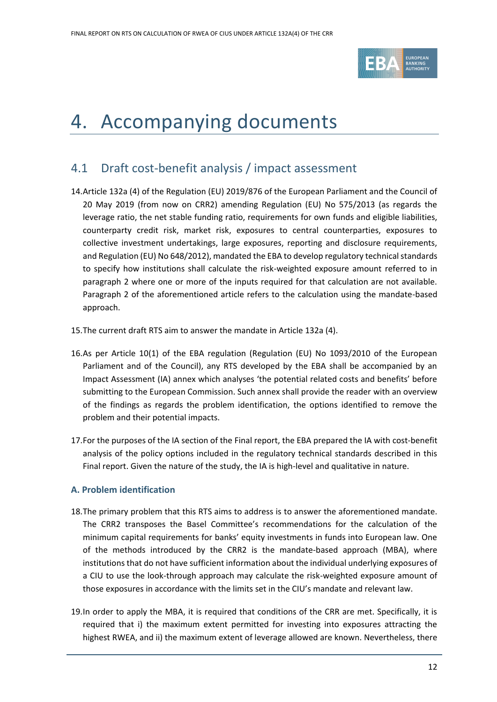

## <span id="page-11-0"></span>4. Accompanying documents

## <span id="page-11-1"></span>4.1 Draft cost-benefit analysis / impact assessment

- 14.Article 132a (4) of the Regulation (EU) 2019/876 of the European Parliament and the Council of 20 May 2019 (from now on CRR2) amending Regulation (EU) No 575/2013 (as regards the leverage ratio, the net stable funding ratio, requirements for own funds and eligible liabilities, counterparty credit risk, market risk, exposures to central counterparties, exposures to collective investment undertakings, large exposures, reporting and disclosure requirements, and Regulation (EU) No 648/2012), mandated the EBA to develop regulatory technical standards to specify how institutions shall calculate the risk-weighted exposure amount referred to in paragraph 2 where one or more of the inputs required for that calculation are not available. Paragraph 2 of the aforementioned article refers to the calculation using the mandate-based approach.
- 15.The current draft RTS aim to answer the mandate in Article 132a (4).
- 16.As per Article 10(1) of the EBA regulation (Regulation (EU) No 1093/2010 of the European Parliament and of the Council), any RTS developed by the EBA shall be accompanied by an Impact Assessment (IA) annex which analyses 'the potential related costs and benefits' before submitting to the European Commission. Such annex shall provide the reader with an overview of the findings as regards the problem identification, the options identified to remove the problem and their potential impacts.
- 17.For the purposes of the IA section of the Final report, the EBA prepared the IA with cost-benefit analysis of the policy options included in the regulatory technical standards described in this Final report. Given the nature of the study, the IA is high-level and qualitative in nature.

#### **A. Problem identification**

- 18.The primary problem that this RTS aims to address is to answer the aforementioned mandate. The CRR2 transposes the Basel Committee's recommendations for the calculation of the minimum capital requirements for banks' equity investments in funds into European law. One of the methods introduced by the CRR2 is the mandate-based approach (MBA), where institutions that do not have sufficient information about the individual underlying exposures of a CIU to use the look-through approach may calculate the risk-weighted exposure amount of those exposures in accordance with the limits set in the CIU's mandate and relevant law.
- 19.In order to apply the MBA, it is required that conditions of the CRR are met. Specifically, it is required that i) the maximum extent permitted for investing into exposures attracting the highest RWEA, and ii) the maximum extent of leverage allowed are known. Nevertheless, there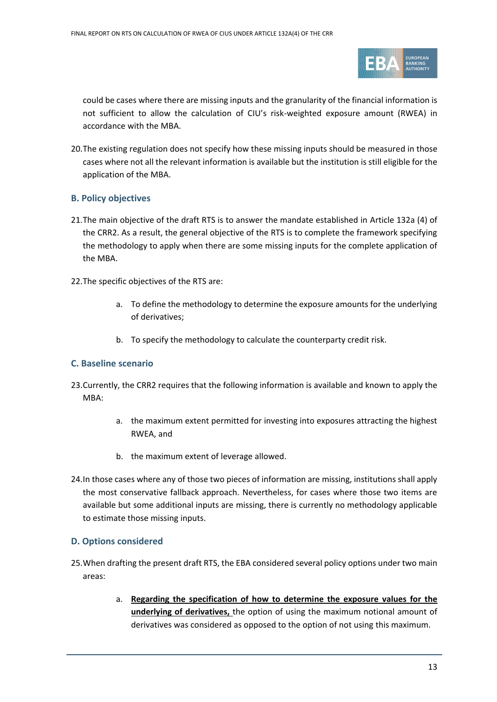

could be cases where there are missing inputs and the granularity of the financial information is not sufficient to allow the calculation of CIU's risk-weighted exposure amount (RWEA) in accordance with the MBA.

20.The existing regulation does not specify how these missing inputs should be measured in those cases where not all the relevant information is available but the institution is still eligible for the application of the MBA.

#### **B. Policy objectives**

- 21.The main objective of the draft RTS is to answer the mandate established in Article 132a (4) of the CRR2. As a result, the general objective of the RTS is to complete the framework specifying the methodology to apply when there are some missing inputs for the complete application of the MBA.
- 22.The specific objectives of the RTS are:
	- a. To define the methodology to determine the exposure amounts for the underlying of derivatives;
	- b. To specify the methodology to calculate the counterparty credit risk.

#### **C. Baseline scenario**

- 23.Currently, the CRR2 requires that the following information is available and known to apply the MBA:
	- a. the maximum extent permitted for investing into exposures attracting the highest RWEA, and
	- b. the maximum extent of leverage allowed.
- 24.In those cases where any of those two pieces of information are missing, institutions shall apply the most conservative fallback approach. Nevertheless, for cases where those two items are available but some additional inputs are missing, there is currently no methodology applicable to estimate those missing inputs.

#### **D. Options considered**

- 25.When drafting the present draft RTS, the EBA considered several policy options under two main areas:
	- a. **Regarding the specification of how to determine the exposure values for the underlying of derivatives,** the option of using the maximum notional amount of derivatives was considered as opposed to the option of not using this maximum.